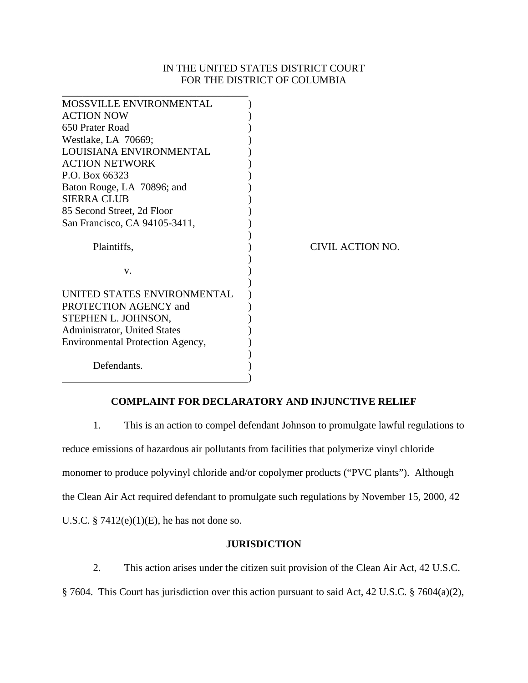## IN THE UNITED STATES DISTRICT COURT FOR THE DISTRICT OF COLUMBIA

| MOSSVILLE ENVIRONMENTAL          |                  |
|----------------------------------|------------------|
| <b>ACTION NOW</b>                |                  |
| 650 Prater Road                  |                  |
| Westlake, LA 70669;              |                  |
| LOUISIANA ENVIRONMENTAL          |                  |
| <b>ACTION NETWORK</b>            |                  |
| P.O. Box 66323                   |                  |
| Baton Rouge, LA 70896; and       |                  |
| <b>SIERRA CLUB</b>               |                  |
| 85 Second Street, 2d Floor       |                  |
| San Francisco, CA 94105-3411,    |                  |
|                                  |                  |
| Plaintiffs,                      | CIVIL ACTION NO. |
|                                  |                  |
| V.                               |                  |
|                                  |                  |
| UNITED STATES ENVIRONMENTAL      |                  |
| PROTECTION AGENCY and            |                  |
| STEPHEN L. JOHNSON,              |                  |
| Administrator, United States     |                  |
| Environmental Protection Agency, |                  |
|                                  |                  |
| Defendants.                      |                  |
|                                  |                  |

## **COMPLAINT FOR DECLARATORY AND INJUNCTIVE RELIEF**

1. This is an action to compel defendant Johnson to promulgate lawful regulations to reduce emissions of hazardous air pollutants from facilities that polymerize vinyl chloride monomer to produce polyvinyl chloride and/or copolymer products ("PVC plants"). Although the Clean Air Act required defendant to promulgate such regulations by November 15, 2000, 42 U.S.C.  $\S$  7412(e)(1)(E), he has not done so.

### **JURISDICTION**

 2. This action arises under the citizen suit provision of the Clean Air Act, 42 U.S.C. § 7604. This Court has jurisdiction over this action pursuant to said Act, 42 U.S.C. § 7604(a)(2),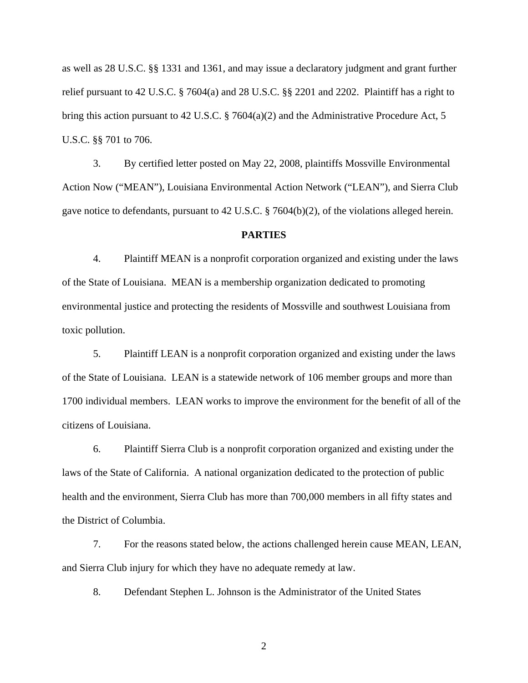as well as 28 U.S.C. §§ 1331 and 1361, and may issue a declaratory judgment and grant further relief pursuant to 42 U.S.C. § 7604(a) and 28 U.S.C. §§ 2201 and 2202. Plaintiff has a right to bring this action pursuant to 42 U.S.C. § 7604(a)(2) and the Administrative Procedure Act, 5 U.S.C. §§ 701 to 706.

 3. By certified letter posted on May 22, 2008, plaintiffs Mossville Environmental Action Now ("MEAN"), Louisiana Environmental Action Network ("LEAN"), and Sierra Club gave notice to defendants, pursuant to 42 U.S.C. § 7604(b)(2), of the violations alleged herein.

#### **PARTIES**

4. Plaintiff MEAN is a nonprofit corporation organized and existing under the laws of the State of Louisiana. MEAN is a membership organization dedicated to promoting environmental justice and protecting the residents of Mossville and southwest Louisiana from toxic pollution.

5. Plaintiff LEAN is a nonprofit corporation organized and existing under the laws of the State of Louisiana. LEAN is a statewide network of 106 member groups and more than 1700 individual members. LEAN works to improve the environment for the benefit of all of the citizens of Louisiana.

 6. Plaintiff Sierra Club is a nonprofit corporation organized and existing under the laws of the State of California. A national organization dedicated to the protection of public health and the environment, Sierra Club has more than 700,000 members in all fifty states and the District of Columbia.

 7. For the reasons stated below, the actions challenged herein cause MEAN, LEAN, and Sierra Club injury for which they have no adequate remedy at law.

8. Defendant Stephen L. Johnson is the Administrator of the United States

2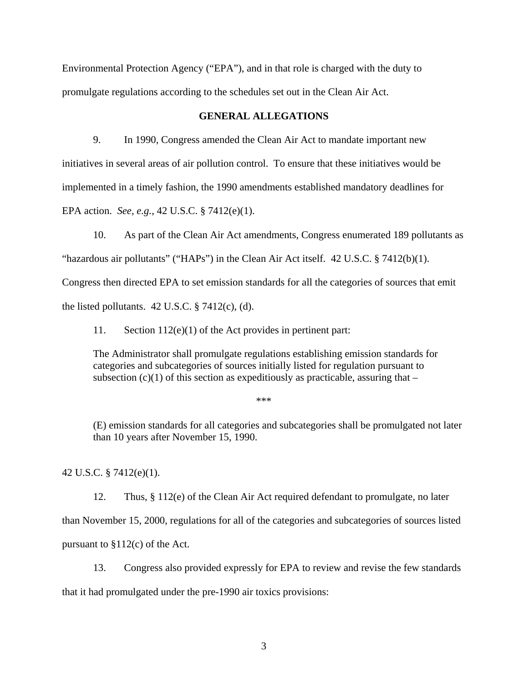Environmental Protection Agency ("EPA"), and in that role is charged with the duty to promulgate regulations according to the schedules set out in the Clean Air Act.

## **GENERAL ALLEGATIONS**

9. In 1990, Congress amended the Clean Air Act to mandate important new initiatives in several areas of air pollution control. To ensure that these initiatives would be implemented in a timely fashion, the 1990 amendments established mandatory deadlines for EPA action. *See, e.g.*, 42 U.S.C. § 7412(e)(1).

10. As part of the Clean Air Act amendments, Congress enumerated 189 pollutants as "hazardous air pollutants" ("HAPs") in the Clean Air Act itself. 42 U.S.C. § 7412(b)(1). Congress then directed EPA to set emission standards for all the categories of sources that emit the listed pollutants.  $42 \text{ U.S.C.}$  §  $7412(c)$ , (d).

11. Section 112(e)(1) of the Act provides in pertinent part:

The Administrator shall promulgate regulations establishing emission standards for categories and subcategories of sources initially listed for regulation pursuant to subsection  $(c)(1)$  of this section as expeditiously as practicable, assuring that –

\*\*\*

(E) emission standards for all categories and subcategories shall be promulgated not later than 10 years after November 15, 1990.

42 U.S.C. § 7412(e)(1).

12. Thus, § 112(e) of the Clean Air Act required defendant to promulgate, no later

than November 15, 2000, regulations for all of the categories and subcategories of sources listed pursuant to  $$112(c)$  of the Act.

13. Congress also provided expressly for EPA to review and revise the few standards that it had promulgated under the pre-1990 air toxics provisions: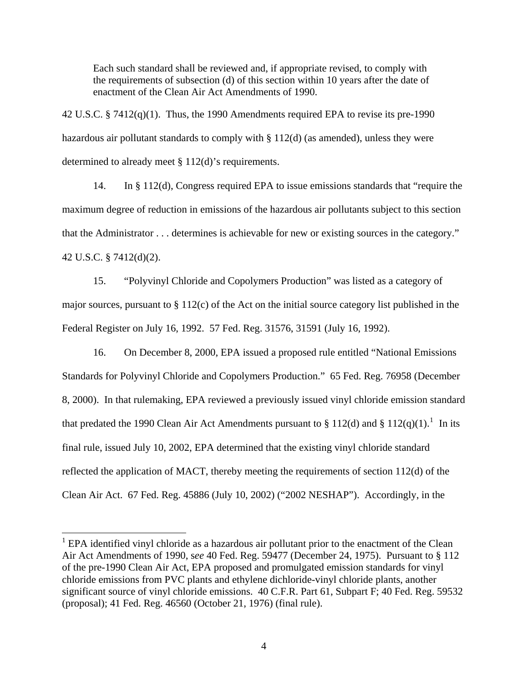Each such standard shall be reviewed and, if appropriate revised, to comply with the requirements of subsection (d) of this section within 10 years after the date of enactment of the Clean Air Act Amendments of 1990.

42 U.S.C. § 7412(q)(1). Thus, the 1990 Amendments required EPA to revise its pre-1990 hazardous air pollutant standards to comply with § 112(d) (as amended), unless they were determined to already meet § 112(d)'s requirements.

14. In § 112(d), Congress required EPA to issue emissions standards that "require the maximum degree of reduction in emissions of the hazardous air pollutants subject to this section that the Administrator . . . determines is achievable for new or existing sources in the category." 42 U.S.C. § 7412(d)(2).

15. "Polyvinyl Chloride and Copolymers Production" was listed as a category of major sources, pursuant to § 112(c) of the Act on the initial source category list published in the Federal Register on July 16, 1992. 57 Fed. Reg. 31576, 31591 (July 16, 1992).

16. On December 8, 2000, EPA issued a proposed rule entitled "National Emissions Standards for Polyvinyl Chloride and Copolymers Production." 65 Fed. Reg. 76958 (December 8, 2000). In that rulemaking, EPA reviewed a previously issued vinyl chloride emission standard that predated the [1](#page-3-0)990 Clean Air Act Amendments pursuant to  $\S 112(d)$  and  $\S 112(q)(1)$ .<sup>1</sup> In its final rule, issued July 10, 2002, EPA determined that the existing vinyl chloride standard reflected the application of MACT, thereby meeting the requirements of section 112(d) of the Clean Air Act. 67 Fed. Reg. 45886 (July 10, 2002) ("2002 NESHAP"). Accordingly, in the

 $\overline{a}$ 

<span id="page-3-0"></span><sup>&</sup>lt;sup>1</sup> EPA identified vinyl chloride as a hazardous air pollutant prior to the enactment of the Clean Air Act Amendments of 1990, s*ee* 40 Fed. Reg. 59477 (December 24, 1975). Pursuant to § 112 of the pre-1990 Clean Air Act, EPA proposed and promulgated emission standards for vinyl chloride emissions from PVC plants and ethylene dichloride-vinyl chloride plants, another significant source of vinyl chloride emissions. 40 C.F.R. Part 61, Subpart F; 40 Fed. Reg. 59532 (proposal); 41 Fed. Reg. 46560 (October 21, 1976) (final rule).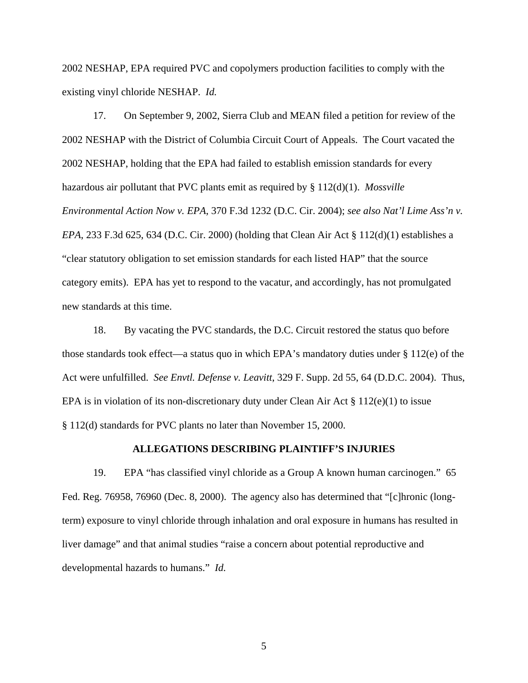2002 NESHAP, EPA required PVC and copolymers production facilities to comply with the existing vinyl chloride NESHAP. *Id.*

17. On September 9, 2002, Sierra Club and MEAN filed a petition for review of the 2002 NESHAP with the District of Columbia Circuit Court of Appeals. The Court vacated the 2002 NESHAP, holding that the EPA had failed to establish emission standards for every hazardous air pollutant that PVC plants emit as required by § 112(d)(1). *Mossville Environmental Action Now v. EPA*, 370 F.3d 1232 (D.C. Cir. 2004); *see also Nat'l Lime Ass'n v. EPA*, 233 F.3d 625, 634 (D.C. Cir. 2000) (holding that Clean Air Act § 112(d)(1) establishes a "clear statutory obligation to set emission standards for each listed HAP" that the source category emits). EPA has yet to respond to the vacatur, and accordingly, has not promulgated new standards at this time.

 18. By vacating the PVC standards, the D.C. Circuit restored the status quo before those standards took effect—a status quo in which EPA's mandatory duties under § 112(e) of the Act were unfulfilled. *See Envtl. Defense v. Leavitt*, 329 F. Supp. 2d 55, 64 (D.D.C. 2004). Thus, EPA is in violation of its non-discretionary duty under Clean Air Act  $\S 112(e)(1)$  to issue § 112(d) standards for PVC plants no later than November 15, 2000.

#### **ALLEGATIONS DESCRIBING PLAINTIFF'S INJURIES**

19. EPA "has classified vinyl chloride as a Group A known human carcinogen." 65 Fed. Reg. 76958, 76960 (Dec. 8, 2000). The agency also has determined that "[c]hronic (longterm) exposure to vinyl chloride through inhalation and oral exposure in humans has resulted in liver damage" and that animal studies "raise a concern about potential reproductive and developmental hazards to humans." *Id.*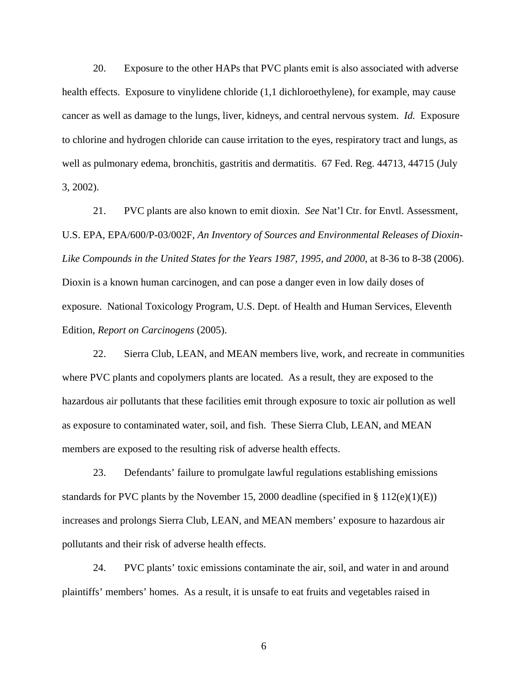20. Exposure to the other HAPs that PVC plants emit is also associated with adverse health effects. Exposure to vinylidene chloride  $(1,1)$  dichloroethylene), for example, may cause cancer as well as damage to the lungs, liver, kidneys, and central nervous system. *Id.* Exposure to chlorine and hydrogen chloride can cause irritation to the eyes, respiratory tract and lungs, as well as pulmonary edema, bronchitis, gastritis and dermatitis. 67 Fed. Reg. 44713, 44715 (July 3, 2002).

21. PVC plants are also known to emit dioxin. *See* Nat'l Ctr. for Envtl. Assessment, U.S. EPA, EPA/600/P-03/002F, *An Inventory of Sources and Environmental Releases of Dioxin-Like Compounds in the United States for the Years 1987, 1995, and 2000*, at 8-36 to 8-38 (2006). Dioxin is a known human carcinogen, and can pose a danger even in low daily doses of exposure. National Toxicology Program, U.S. Dept. of Health and Human Services, Eleventh Edition, *Report on Carcinogens* (2005).

22. Sierra Club, LEAN, and MEAN members live, work, and recreate in communities where PVC plants and copolymers plants are located. As a result, they are exposed to the hazardous air pollutants that these facilities emit through exposure to toxic air pollution as well as exposure to contaminated water, soil, and fish. These Sierra Club, LEAN, and MEAN members are exposed to the resulting risk of adverse health effects.

23. Defendants' failure to promulgate lawful regulations establishing emissions standards for PVC plants by the November 15, 2000 deadline (specified in § 112(e)(1)(E)) increases and prolongs Sierra Club, LEAN, and MEAN members' exposure to hazardous air pollutants and their risk of adverse health effects.

24. PVC plants' toxic emissions contaminate the air, soil, and water in and around plaintiffs' members' homes. As a result, it is unsafe to eat fruits and vegetables raised in

6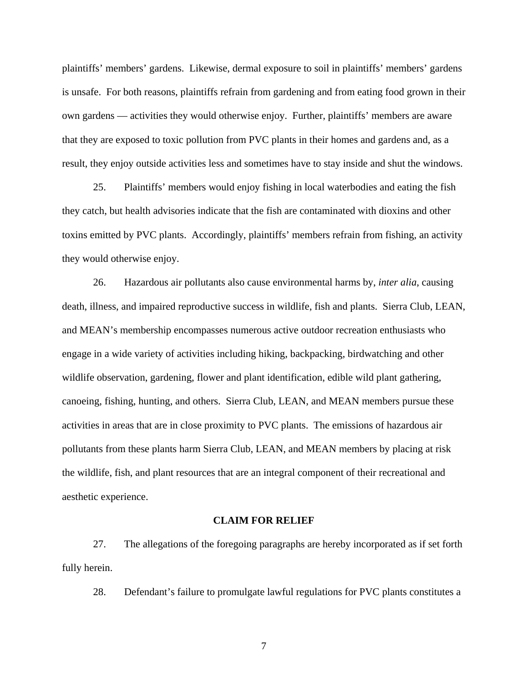plaintiffs' members' gardens. Likewise, dermal exposure to soil in plaintiffs' members' gardens is unsafe. For both reasons, plaintiffs refrain from gardening and from eating food grown in their own gardens — activities they would otherwise enjoy. Further, plaintiffs' members are aware that they are exposed to toxic pollution from PVC plants in their homes and gardens and, as a result, they enjoy outside activities less and sometimes have to stay inside and shut the windows.

25. Plaintiffs' members would enjoy fishing in local waterbodies and eating the fish they catch, but health advisories indicate that the fish are contaminated with dioxins and other toxins emitted by PVC plants. Accordingly, plaintiffs' members refrain from fishing, an activity they would otherwise enjoy.

26. Hazardous air pollutants also cause environmental harms by, *inter alia*, causing death, illness, and impaired reproductive success in wildlife, fish and plants. Sierra Club, LEAN, and MEAN's membership encompasses numerous active outdoor recreation enthusiasts who engage in a wide variety of activities including hiking, backpacking, birdwatching and other wildlife observation, gardening, flower and plant identification, edible wild plant gathering, canoeing, fishing, hunting, and others. Sierra Club, LEAN, and MEAN members pursue these activities in areas that are in close proximity to PVC plants. The emissions of hazardous air pollutants from these plants harm Sierra Club, LEAN, and MEAN members by placing at risk the wildlife, fish, and plant resources that are an integral component of their recreational and aesthetic experience.

#### **CLAIM FOR RELIEF**

 27. The allegations of the foregoing paragraphs are hereby incorporated as if set forth fully herein.

28. Defendant's failure to promulgate lawful regulations for PVC plants constitutes a

7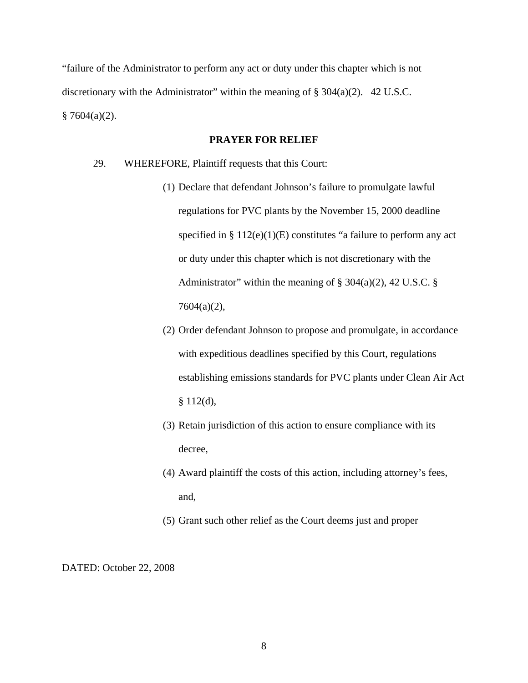"failure of the Administrator to perform any act or duty under this chapter which is not discretionary with the Administrator" within the meaning of  $\S 304(a)(2)$ . 42 U.S.C.  $§ 7604(a)(2).$ 

# **PRAYER FOR RELIEF**

- 29. WHEREFORE, Plaintiff requests that this Court:
	- (1) Declare that defendant Johnson's failure to promulgate lawful regulations for PVC plants by the November 15, 2000 deadline specified in  $\S 112(e)(1)(E)$  constitutes "a failure to perform any act or duty under this chapter which is not discretionary with the Administrator" within the meaning of  $\S$  304(a)(2), 42 U.S.C.  $\S$ 7604(a)(2),
	- (2) Order defendant Johnson to propose and promulgate, in accordance with expeditious deadlines specified by this Court, regulations establishing emissions standards for PVC plants under Clean Air Act  $§ 112(d),$
	- (3) Retain jurisdiction of this action to ensure compliance with its decree,
	- (4) Award plaintiff the costs of this action, including attorney's fees, and,
	- (5) Grant such other relief as the Court deems just and proper

DATED: October 22, 2008